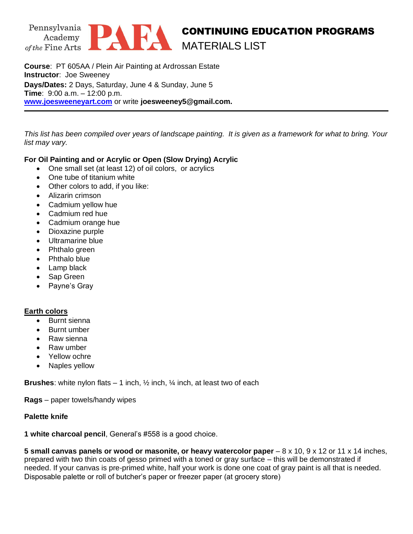

# CONTINUING EDUCATION PROGRAMS MATERIALS LIST

**Course**: PT 605AA / Plein Air Painting at Ardrossan Estate **Instructor**: Joe Sweeney **Days/Dates:** 2 Days, Saturday, June 4 & Sunday, June 5 **Time**: 9:00 a.m. – 12:00 p.m. **[www.joesweeneyart.com](http://www.joesweeneyart.com/)** or write **joesweeney5@gmail.com.**

*This list has been compiled over years of landscape painting. It is given as a framework for what to bring. Your list may vary.* 

# **For Oil Painting and or Acrylic or Open (Slow Drying) Acrylic**

- One small set (at least 12) of oil colors, or acrylics
- One tube of titanium white
- Other colors to add, if you like:
- Alizarin crimson
- Cadmium yellow hue
- Cadmium red hue
- Cadmium orange hue
- Dioxazine purple
- Ultramarine blue
- Phthalo green
- Phthalo blue
- Lamp black
- Sap Green
- Payne's Gray

#### **Earth colors**

- Burnt sienna
- Burnt umber
- Raw sienna
- Raw umber
- Yellow ochre
- Naples yellow

**Brushes**: white nylon flats – 1 inch, ½ inch, ¼ inch, at least two of each

**Rags** – paper towels/handy wipes

### **Palette knife**

**1 white charcoal pencil**, General's #558 is a good choice.

**5 small canvas panels or wood or masonite, or heavy watercolor paper** – 8 x 10, 9 x 12 or 11 x 14 inches, prepared with two thin coats of gesso primed with a toned or gray surface – this will be demonstrated if needed. If your canvas is pre-primed white, half your work is done one coat of gray paint is all that is needed. Disposable palette or roll of butcher's paper or freezer paper (at grocery store)